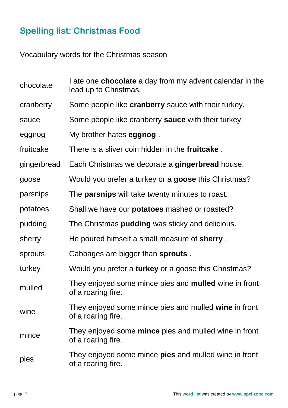## **Spelling list: Christmas Food**

Vocabulary words for the Christmas season

| chocolate   | I ate one <b>chocolate</b> a day from my advent calendar in the<br>lead up to Christmas. |
|-------------|------------------------------------------------------------------------------------------|
| cranberry   | Some people like <b>cranberry</b> sauce with their turkey.                               |
| sauce       | Some people like cranberry sauce with their turkey.                                      |
| eggnog      | My brother hates <b>eggnog</b> .                                                         |
| fruitcake   | There is a sliver coin hidden in the <b>fruitcake</b> .                                  |
| gingerbread | Each Christmas we decorate a gingerbread house.                                          |
| goose       | Would you prefer a turkey or a <b>goose</b> this Christmas?                              |
| parsnips    | The <b>parsnips</b> will take twenty minutes to roast.                                   |
| potatoes    | Shall we have our <b>potatoes</b> mashed or roasted?                                     |
| pudding     | The Christmas <b>pudding</b> was sticky and delicious.                                   |
| sherry      | He poured himself a small measure of sherry.                                             |
| sprouts     | Cabbages are bigger than sprouts.                                                        |
| turkey      | Would you prefer a turkey or a goose this Christmas?                                     |
| mulled      | They enjoyed some mince pies and <b>mulled</b> wine in front<br>of a roaring fire.       |
| wine        | They enjoyed some mince pies and mulled wine in front<br>of a roaring fire.              |
| mince       | They enjoyed some <b>mince</b> pies and mulled wine in front<br>of a roaring fire.       |
| pies        | They enjoyed some mince <b>pies</b> and mulled wine in front<br>of a roaring fire.       |